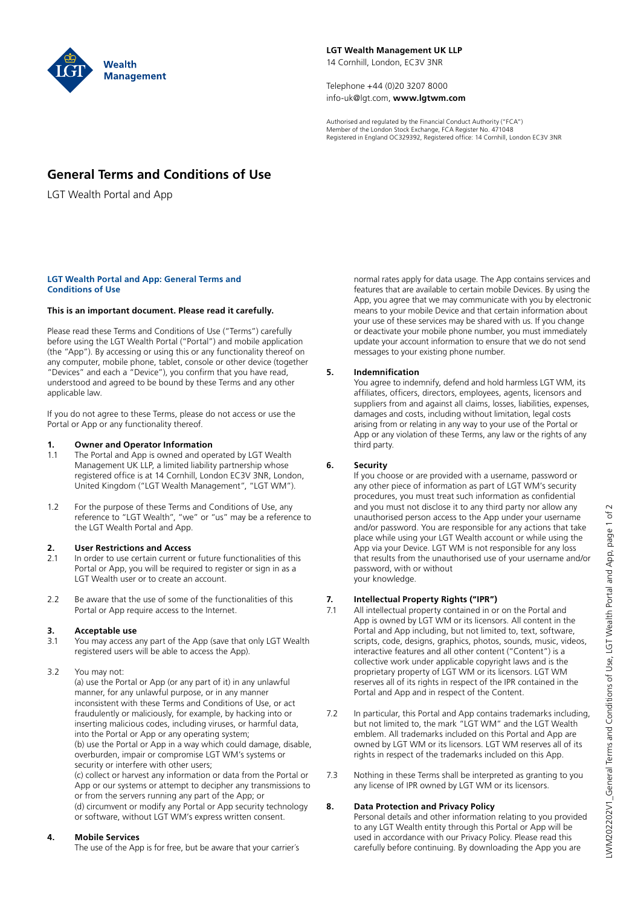

**LGT Wealth Management UK LLP** 14 Cornhill, London, EC3V 3NR

Telephone +44 (0)20 3207 8000 info-uk@lgt.com, **www.lgtwm.com**

Authorised and regulated by the Financial Conduct Authority ("FCA") Member of the London Stock Exchange, FCA Register No. 471048 Registered in England OC329392, Registered office: 14 Cornhill, London EC3V 3NR

## **General Terms and Conditions of Use**

LGT Wealth Portal and App

#### **LGT Wealth Portal and App: General Terms and Conditions of Use**

## **This is an important document. Please read it carefully.**

Please read these Terms and Conditions of Use ("Terms") carefully before using the LGT Wealth Portal ("Portal") and mobile application (the "App"). By accessing or using this or any functionality thereof on any computer, mobile phone, tablet, console or other device (together "Devices" and each a "Device"), you confirm that you have read, understood and agreed to be bound by these Terms and any other applicable law.

If you do not agree to these Terms, please do not access or use the Portal or App or any functionality thereof.

## **1. Owner and Operator Information**

- 1.1 The Portal and App is owned and operated by LGT Wealth Management UK LLP, a limited liability partnership whose registered office is at 14 Cornhill, London EC3V 3NR, London, United Kingdom ("LGT Wealth Management", "LGT WM").
- 1.2 For the purpose of these Terms and Conditions of Use, any reference to "LGT Wealth", "we" or "us" may be a reference to the LGT Wealth Portal and App.

## **2. User Restrictions and Access**

- 2.1 In order to use certain current or future functionalities of this Portal or App, you will be required to register or sign in as a LGT Wealth user or to create an account.
- 2.2 Be aware that the use of some of the functionalities of this Portal or App require access to the Internet.

# **3. Acceptable use**<br>**3.1** You may access a

- 3.1 You may access any part of the App (save that only LGT Wealth registered users will be able to access the App).
- 3.2 You may not:

 (a) use the Portal or App (or any part of it) in any unlawful manner, for any unlawful purpose, or in any manner inconsistent with these Terms and Conditions of Use, or act fraudulently or maliciously, for example, by hacking into or inserting malicious codes, including viruses, or harmful data, into the Portal or App or any operating system; (b) use the Portal or App in a way which could damage, disable, overburden, impair or compromise LGT WM's systems or security or interfere with other users;

 (c) collect or harvest any information or data from the Portal or App or our systems or attempt to decipher any transmissions to or from the servers running any part of the App; or (d) circumvent or modify any Portal or App security technology or software, without LGT WM's express written consent.

## **4. Mobile Services**

The use of the App is for free, but be aware that your carrier´s

normal rates apply for data usage. The App contains services and features that are available to certain mobile Devices. By using the App, you agree that we may communicate with you by electronic means to your mobile Device and that certain information about your use of these services may be shared with us. If you change or deactivate your mobile phone number, you must immediately update your account information to ensure that we do not send messages to your existing phone number.

## **5. Indemnification**

 You agree to indemnify, defend and hold harmless LGT WM, its affiliates, officers, directors, employees, agents, licensors and suppliers from and against all claims, losses, liabilities, expenses, damages and costs, including without limitation, legal costs arising from or relating in any way to your use of the Portal or App or any violation of these Terms, any law or the rights of any third party.

## **6. Security**

 If you choose or are provided with a username, password or any other piece of information as part of LGT WM's security procedures, you must treat such information as confidential and you must not disclose it to any third party nor allow any unauthorised person access to the App under your username and/or password. You are responsible for any actions that take place while using your LGT Wealth account or while using the App via your Device. LGT WM is not responsible for any loss that results from the unauthorised use of your username and/or password, with or without your knowledge.

## **7. Intellectual Property Rights ("IPR")**

- 7.1 All intellectual property contained in or on the Portal and App is owned by LGT WM or its licensors. All content in the Portal and App including, but not limited to, text, software, scripts, code, designs, graphics, photos, sounds, music, videos, interactive features and all other content ("Content") is a collective work under applicable copyright laws and is the proprietary property of LGT WM or its licensors. LGT WM reserves all of its rights in respect of the IPR contained in the Portal and App and in respect of the Content.
- 7.2 In particular, this Portal and App contains trademarks including, but not limited to, the mark "LGT WM" and the LGT Wealth emblem. All trademarks included on this Portal and App are owned by LGT WM or its licensors. LGT WM reserves all of its rights in respect of the trademarks included on this App.
- 7.3 Nothing in these Terms shall be interpreted as granting to you any license of IPR owned by LGT WM or its licensors.

## **8. Data Protection and Privacy Policy**

 Personal details and other information relating to you provided to any LGT Wealth entity through this Portal or App will be used in accordance with our Privacy Policy. Please read this carefully before continuing. By downloading the App you are